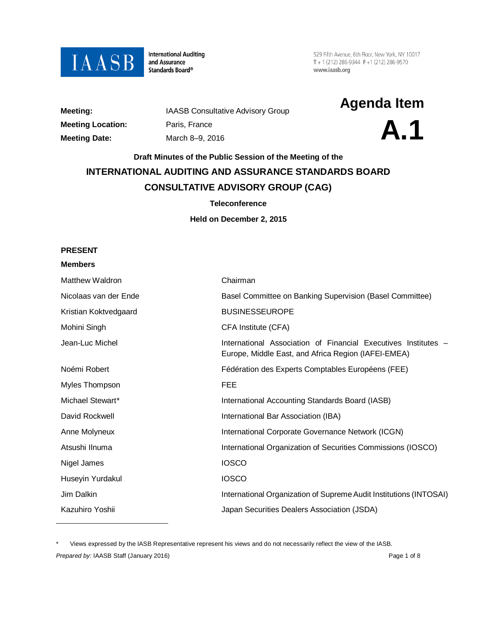

**International Auditing** and Assurance Standards Board®

529 Fifth Avenue, 6th Floor, New York, NY 10017  $T + 1(212) 286 - 9344$   $F + 1(212) 286 - 9570$ www.iaasb.org

| Meeting:                |
|-------------------------|
| <b>Meeting Location</b> |
| <b>Meeting Date:</b>    |

**Meeting Location:**<br> **A.1** March 8–9, 2016<br> **Meeting Date:** March 8–9, 2016 **Meeting Date:** March 8–9, 2016

**Meeting:** IAASB Consultative Advisory Group **Agenda Item**



# **Draft Minutes of the Public Session of the Meeting of the INTERNATIONAL AUDITING AND ASSURANCE STANDARDS BOARD CONSULTATIVE ADVISORY GROUP (CAG)**

### **Teleconference**

**Held on December 2, 2015**

### **PRESENT**

#### **Members**

 $\overline{a}$ 

| Matthew Waldron       | Chairman                                                                                                              |
|-----------------------|-----------------------------------------------------------------------------------------------------------------------|
| Nicolaas van der Ende | Basel Committee on Banking Supervision (Basel Committee)                                                              |
| Kristian Koktvedgaard | <b>BUSINESSEUROPE</b>                                                                                                 |
| Mohini Singh          | CFA Institute (CFA)                                                                                                   |
| Jean-Luc Michel       | International Association of Financial Executives Institutes –<br>Europe, Middle East, and Africa Region (IAFEI-EMEA) |
| Noémi Robert          | Fédération des Experts Comptables Européens (FEE)                                                                     |
| Myles Thompson        | <b>FEE</b>                                                                                                            |
| Michael Stewart*      | International Accounting Standards Board (IASB)                                                                       |
| David Rockwell        | International Bar Association (IBA)                                                                                   |
| Anne Molyneux         | International Corporate Governance Network (ICGN)                                                                     |
| Atsushi Ilnuma        | International Organization of Securities Commissions (IOSCO)                                                          |
| Nigel James           | <b>IOSCO</b>                                                                                                          |
| Huseyin Yurdakul      | <b>IOSCO</b>                                                                                                          |
| Jim Dalkin            | International Organization of Supreme Audit Institutions (INTOSAI)                                                    |
| Kazuhiro Yoshii       | Japan Securities Dealers Association (JSDA)                                                                           |
|                       |                                                                                                                       |

<span id="page-0-0"></span>**Prepared by: IAASB Staff (January 2016) Page 1 of 8 Page 1 of 8 Page 1 of 8** Views expressed by the IASB Representative represent his views and do not necessarily reflect the view of the IASB.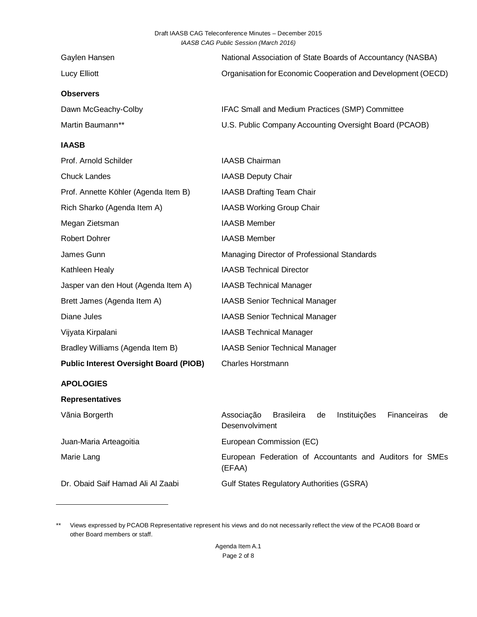| Gaylen Hansen       | National Association of State Boards of Accountancy (NASBA)  |
|---------------------|--------------------------------------------------------------|
| Lucy Elliott        | Organisation for Economic Cooperation and Development (OECD) |
| <b>Observers</b>    |                                                              |
| Dawn McGeachy-Colby | IFAC Small and Medium Practices (SMP) Committee              |
| Martin Baumann**    | U.S. Public Company Accounting Oversight Board (PCAOB)       |

### **IAASB**

 $\overline{a}$ 

| Prof. Arnold Schilder                         | IAASB Chairman                                                                               |
|-----------------------------------------------|----------------------------------------------------------------------------------------------|
| <b>Chuck Landes</b>                           | <b>IAASB Deputy Chair</b>                                                                    |
| Prof. Annette Köhler (Agenda Item B)          | IAASB Drafting Team Chair                                                                    |
| Rich Sharko (Agenda Item A)                   | IAASB Working Group Chair                                                                    |
| Megan Zietsman                                | <b>IAASB Member</b>                                                                          |
| Robert Dohrer                                 | <b>IAASB Member</b>                                                                          |
| James Gunn                                    | Managing Director of Professional Standards                                                  |
| Kathleen Healy                                | <b>IAASB Technical Director</b>                                                              |
| Jasper van den Hout (Agenda Item A)           | <b>IAASB Technical Manager</b>                                                               |
| Brett James (Agenda Item A)                   | <b>IAASB Senior Technical Manager</b>                                                        |
| Diane Jules                                   | <b>IAASB Senior Technical Manager</b>                                                        |
| Vijyata Kirpalani                             | <b>IAASB Technical Manager</b>                                                               |
| Bradley Williams (Agenda Item B)              | <b>IAASB Senior Technical Manager</b>                                                        |
| <b>Public Interest Oversight Board (PIOB)</b> | <b>Charles Horstmann</b>                                                                     |
| <b>APOLOGIES</b>                              |                                                                                              |
| <b>Representatives</b>                        |                                                                                              |
| Vãnia Borgerth                                | Associação<br><b>Brasileira</b><br>Instituições<br>Financeiras<br>de<br>de<br>Desenvolviment |
| Juan-Maria Arteagoitia                        | European Commission (EC)                                                                     |
| Marie Lang                                    | European Federation of Accountants and Auditors for SMEs<br>(EFAA)                           |
| Dr. Obaid Saif Hamad Ali Al Zaabi             | <b>Gulf States Regulatory Authorities (GSRA)</b>                                             |
|                                               |                                                                                              |

<span id="page-1-0"></span>\*\* Views expressed by PCAOB Representative represent his views and do not necessarily reflect the view of the PCAOB Board or other Board members or staff.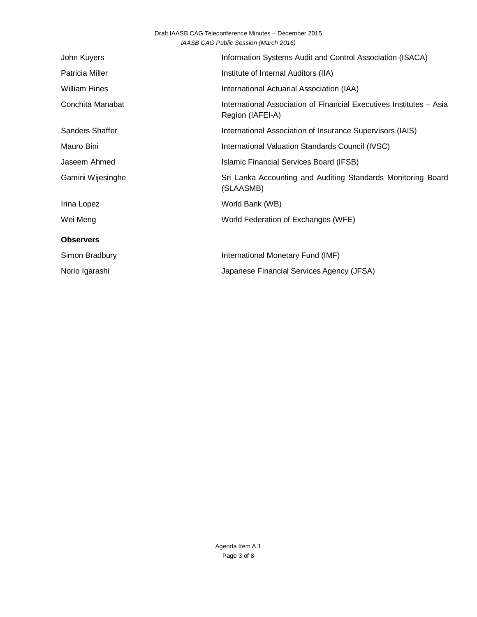| John Kuyers          | Information Systems Audit and Control Association (ISACA)                               |
|----------------------|-----------------------------------------------------------------------------------------|
| Patricia Miller      | Institute of Internal Auditors (IIA)                                                    |
| <b>William Hines</b> | International Actuarial Association (IAA)                                               |
| Conchita Manabat     | International Association of Financial Executives Institutes - Asia<br>Region (IAFEI-A) |
| Sanders Shaffer      | International Association of Insurance Supervisors (IAIS)                               |
| Mauro Bini           | International Valuation Standards Council (IVSC)                                        |
| Jaseem Ahmed         | Islamic Financial Services Board (IFSB)                                                 |
| Gamini Wijesinghe    | Sri Lanka Accounting and Auditing Standards Monitoring Board<br>(SLAASMB)               |
| Irina Lopez          | World Bank (WB)                                                                         |
| Wei Meng             | World Federation of Exchanges (WFE)                                                     |
| <b>Observers</b>     |                                                                                         |
| Simon Bradbury       | International Monetary Fund (IMF)                                                       |
| Norio Igarashi       | Japanese Financial Services Agency (JFSA)                                               |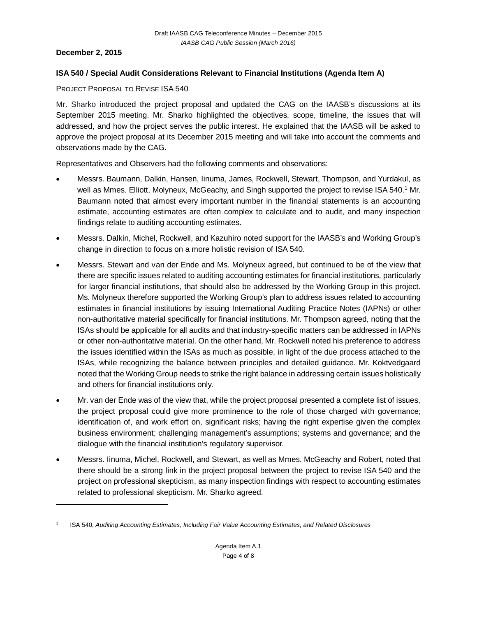### **December 2, 2015**

 $\overline{a}$ 

## **ISA 540 / Special Audit Considerations Relevant to Financial Institutions (Agenda Item A)**

PROJECT PROPOSAL TO REVISE ISA 540

Mr. Sharko introduced the project proposal and updated the CAG on the IAASB's discussions at its September 2015 meeting. Mr. Sharko highlighted the objectives, scope, timeline, the issues that will addressed, and how the project serves the public interest. He explained that the IAASB will be asked to approve the project proposal at its December 2015 meeting and will take into account the comments and observations made by the CAG.

Representatives and Observers had the following comments and observations:

- Messrs. Baumann, Dalkin, Hansen, Iinuma, James, Rockwell, Stewart, Thompson, and Yurdakul, as well as Mmes. Elliott, Molyneux, McGeachy, and Singh supported the project to revise ISA 540.<sup>[1](#page-3-0)</sup> Mr. Baumann noted that almost every important number in the financial statements is an accounting estimate, accounting estimates are often complex to calculate and to audit, and many inspection findings relate to auditing accounting estimates.
- Messrs. Dalkin, Michel, Rockwell, and Kazuhiro noted support for the IAASB's and Working Group's change in direction to focus on a more holistic revision of ISA 540.
- Messrs. Stewart and van der Ende and Ms. Molyneux agreed, but continued to be of the view that there are specific issues related to auditing accounting estimates for financial institutions, particularly for larger financial institutions, that should also be addressed by the Working Group in this project. Ms. Molyneux therefore supported the Working Group's plan to address issues related to accounting estimates in financial institutions by issuing International Auditing Practice Notes (IAPNs) or other non-authoritative material specifically for financial institutions. Mr. Thompson agreed, noting that the ISAs should be applicable for all audits and that industry-specific matters can be addressed in IAPNs or other non-authoritative material. On the other hand, Mr. Rockwell noted his preference to address the issues identified within the ISAs as much as possible, in light of the due process attached to the ISAs, while recognizing the balance between principles and detailed guidance. Mr. Koktvedgaard noted that the Working Group needs to strike the right balance in addressing certain issues holistically and others for financial institutions only.
- Mr. van der Ende was of the view that, while the project proposal presented a complete list of issues, the project proposal could give more prominence to the role of those charged with governance; identification of, and work effort on, significant risks; having the right expertise given the complex business environment; challenging management's assumptions; systems and governance; and the dialogue with the financial institution's regulatory supervisor.
- Messrs. Iinuma, Michel, Rockwell, and Stewart, as well as Mmes. McGeachy and Robert, noted that there should be a strong link in the project proposal between the project to revise ISA 540 and the project on professional skepticism, as many inspection findings with respect to accounting estimates related to professional skepticism. Mr. Sharko agreed.

<span id="page-3-0"></span><sup>1</sup> ISA 540, *Auditing Accounting Estimates, Including Fair Value Accounting Estimates, and Related Disclosures*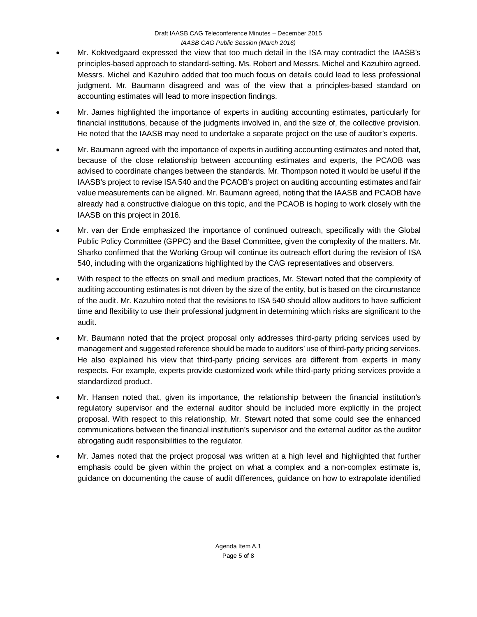- Mr. Koktvedgaard expressed the view that too much detail in the ISA may contradict the IAASB's principles-based approach to standard-setting. Ms. Robert and Messrs. Michel and Kazuhiro agreed. Messrs. Michel and Kazuhiro added that too much focus on details could lead to less professional judgment. Mr. Baumann disagreed and was of the view that a principles-based standard on accounting estimates will lead to more inspection findings.
- Mr. James highlighted the importance of experts in auditing accounting estimates, particularly for financial institutions, because of the judgments involved in, and the size of, the collective provision. He noted that the IAASB may need to undertake a separate project on the use of auditor's experts.
- Mr. Baumann agreed with the importance of experts in auditing accounting estimates and noted that, because of the close relationship between accounting estimates and experts, the PCAOB was advised to coordinate changes between the standards. Mr. Thompson noted it would be useful if the IAASB's project to revise ISA 540 and the PCAOB's project on auditing accounting estimates and fair value measurements can be aligned. Mr. Baumann agreed, noting that the IAASB and PCAOB have already had a constructive dialogue on this topic, and the PCAOB is hoping to work closely with the IAASB on this project in 2016.
- Mr. van der Ende emphasized the importance of continued outreach, specifically with the Global Public Policy Committee (GPPC) and the Basel Committee, given the complexity of the matters. Mr. Sharko confirmed that the Working Group will continue its outreach effort during the revision of ISA 540, including with the organizations highlighted by the CAG representatives and observers.
- With respect to the effects on small and medium practices, Mr. Stewart noted that the complexity of auditing accounting estimates is not driven by the size of the entity, but is based on the circumstance of the audit. Mr. Kazuhiro noted that the revisions to ISA 540 should allow auditors to have sufficient time and flexibility to use their professional judgment in determining which risks are significant to the audit.
- Mr. Baumann noted that the project proposal only addresses third-party pricing services used by management and suggested reference should be made to auditors' use of third-party pricing services. He also explained his view that third-party pricing services are different from experts in many respects. For example, experts provide customized work while third-party pricing services provide a standardized product.
- Mr. Hansen noted that, given its importance, the relationship between the financial institution's regulatory supervisor and the external auditor should be included more explicitly in the project proposal. With respect to this relationship, Mr. Stewart noted that some could see the enhanced communications between the financial institution's supervisor and the external auditor as the auditor abrogating audit responsibilities to the regulator.
- Mr. James noted that the project proposal was written at a high level and highlighted that further emphasis could be given within the project on what a complex and a non-complex estimate is, guidance on documenting the cause of audit differences, guidance on how to extrapolate identified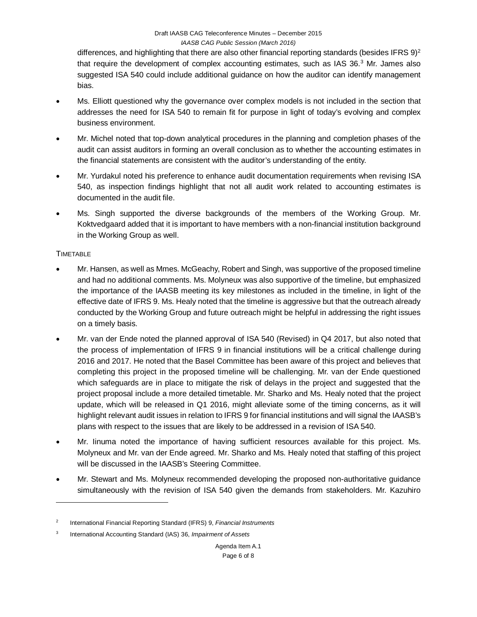differences, and highlighting that there are also other financial reporting standards (besides IFRS 9)<sup>[2](#page-5-0)</sup> that require the development of complex accounting estimates, such as IAS [3](#page-5-1)6.<sup>3</sup> Mr. James also suggested ISA 540 could include additional guidance on how the auditor can identify management bias.

- Ms. Elliott questioned why the governance over complex models is not included in the section that addresses the need for ISA 540 to remain fit for purpose in light of today's evolving and complex business environment.
- Mr. Michel noted that top-down analytical procedures in the planning and completion phases of the audit can assist auditors in forming an overall conclusion as to whether the accounting estimates in the financial statements are consistent with the auditor's understanding of the entity.
- Mr. Yurdakul noted his preference to enhance audit documentation requirements when revising ISA 540, as inspection findings highlight that not all audit work related to accounting estimates is documented in the audit file.
- Ms. Singh supported the diverse backgrounds of the members of the Working Group. Mr. Koktvedgaard added that it is important to have members with a non-financial institution background in the Working Group as well.

### **TIMETABLE**

 $\overline{a}$ 

- Mr. Hansen, as well as Mmes. McGeachy, Robert and Singh, was supportive of the proposed timeline and had no additional comments. Ms. Molyneux was also supportive of the timeline, but emphasized the importance of the IAASB meeting its key milestones as included in the timeline, in light of the effective date of IFRS 9. Ms. Healy noted that the timeline is aggressive but that the outreach already conducted by the Working Group and future outreach might be helpful in addressing the right issues on a timely basis.
- Mr. van der Ende noted the planned approval of ISA 540 (Revised) in Q4 2017, but also noted that the process of implementation of IFRS 9 in financial institutions will be a critical challenge during 2016 and 2017. He noted that the Basel Committee has been aware of this project and believes that completing this project in the proposed timeline will be challenging. Mr. van der Ende questioned which safeguards are in place to mitigate the risk of delays in the project and suggested that the project proposal include a more detailed timetable. Mr. Sharko and Ms. Healy noted that the project update, which will be released in Q1 2016, might alleviate some of the timing concerns, as it will highlight relevant audit issues in relation to IFRS 9 for financial institutions and will signal the IAASB's plans with respect to the issues that are likely to be addressed in a revision of ISA 540.
- Mr. Iinuma noted the importance of having sufficient resources available for this project. Ms. Molyneux and Mr. van der Ende agreed. Mr. Sharko and Ms. Healy noted that staffing of this project will be discussed in the IAASB's Steering Committee.
- Mr. Stewart and Ms. Molyneux recommended developing the proposed non-authoritative guidance simultaneously with the revision of ISA 540 given the demands from stakeholders. Mr. Kazuhiro

<span id="page-5-0"></span><sup>2</sup> International Financial Reporting Standard (IFRS) 9, *Financial Instruments*

<span id="page-5-1"></span><sup>3</sup> International Accounting Standard (IAS) 36, *Impairment of Assets*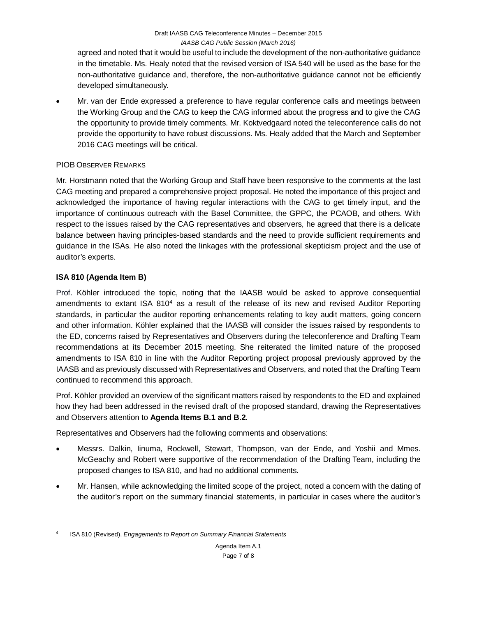agreed and noted that it would be useful to include the development of the non-authoritative guidance in the timetable. Ms. Healy noted that the revised version of ISA 540 will be used as the base for the non-authoritative guidance and, therefore, the non-authoritative guidance cannot not be efficiently developed simultaneously.

• Mr. van der Ende expressed a preference to have regular conference calls and meetings between the Working Group and the CAG to keep the CAG informed about the progress and to give the CAG the opportunity to provide timely comments. Mr. Koktvedgaard noted the teleconference calls do not provide the opportunity to have robust discussions. Ms. Healy added that the March and September 2016 CAG meetings will be critical.

# PIOB OBSERVER REMARKS

Mr. Horstmann noted that the Working Group and Staff have been responsive to the comments at the last CAG meeting and prepared a comprehensive project proposal. He noted the importance of this project and acknowledged the importance of having regular interactions with the CAG to get timely input, and the importance of continuous outreach with the Basel Committee, the GPPC, the PCAOB, and others. With respect to the issues raised by the CAG representatives and observers, he agreed that there is a delicate balance between having principles-based standards and the need to provide sufficient requirements and guidance in the ISAs. He also noted the linkages with the professional skepticism project and the use of auditor's experts.

# **ISA 810 (Agenda Item B)**

 $\overline{a}$ 

Prof. Köhler introduced the topic, noting that the IAASB would be asked to approve consequential amendments to extant ISA  $810<sup>4</sup>$  $810<sup>4</sup>$  $810<sup>4</sup>$  as a result of the release of its new and revised Auditor Reporting standards, in particular the auditor reporting enhancements relating to key audit matters, going concern and other information. Köhler explained that the IAASB will consider the issues raised by respondents to the ED, concerns raised by Representatives and Observers during the teleconference and Drafting Team recommendations at its December 2015 meeting. She reiterated the limited nature of the proposed amendments to ISA 810 in line with the Auditor Reporting project proposal previously approved by the IAASB and as previously discussed with Representatives and Observers, and noted that the Drafting Team continued to recommend this approach.

Prof. Köhler provided an overview of the significant matters raised by respondents to the ED and explained how they had been addressed in the revised draft of the proposed standard, drawing the Representatives and Observers attention to **Agenda Items B.1 and B.2**.

Representatives and Observers had the following comments and observations:

- Messrs. Dalkin, Iinuma, Rockwell, Stewart, Thompson, van der Ende, and Yoshii and Mmes. McGeachy and Robert were supportive of the recommendation of the Drafting Team, including the proposed changes to ISA 810, and had no additional comments.
- Mr. Hansen, while acknowledging the limited scope of the project, noted a concern with the dating of the auditor's report on the summary financial statements, in particular in cases where the auditor's

<span id="page-6-0"></span><sup>4</sup> ISA 810 (Revised), *Engagements to Report on Summary Financial Statements*